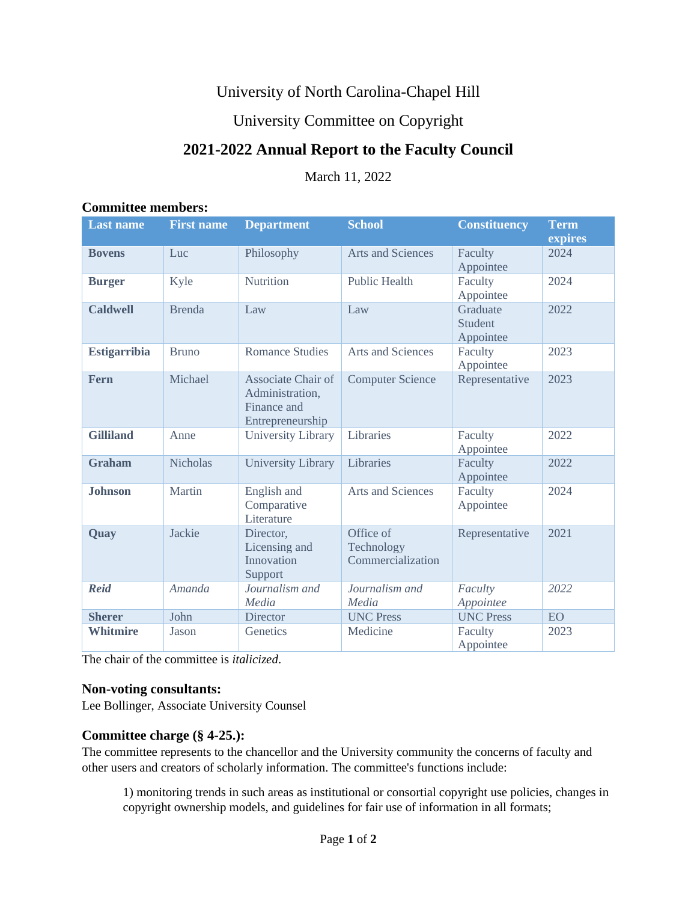# University of North Carolina-Chapel Hill

## University Committee on Copyright

# **2021-2022 Annual Report to the Faculty Council**

March 11, 2022

#### **Committee members:**

| <b>Last name</b>    | <b>First name</b> | <b>Department</b>                                                               | <b>School</b>                                | <b>Constituency</b>              | <b>Term</b><br>expires |
|---------------------|-------------------|---------------------------------------------------------------------------------|----------------------------------------------|----------------------------------|------------------------|
| <b>Bovens</b>       | Luc               | Philosophy                                                                      | <b>Arts and Sciences</b>                     | Faculty<br>Appointee             | 2024                   |
| <b>Burger</b>       | Kyle              | Nutrition                                                                       | <b>Public Health</b>                         | Faculty<br>Appointee             | 2024                   |
| <b>Caldwell</b>     | <b>Brenda</b>     | Law                                                                             | Law                                          | Graduate<br>Student<br>Appointee | 2022                   |
| <b>Estigarribia</b> | <b>Bruno</b>      | <b>Romance Studies</b>                                                          | Arts and Sciences                            | Faculty<br>Appointee             | 2023                   |
| <b>Fern</b>         | Michael           | <b>Associate Chair of</b><br>Administration,<br>Finance and<br>Entrepreneurship | <b>Computer Science</b>                      | Representative                   | 2023                   |
| <b>Gilliland</b>    | Anne              | University Library                                                              | Libraries                                    | Faculty<br>Appointee             | 2022                   |
| <b>Graham</b>       | <b>Nicholas</b>   | <b>University Library</b>                                                       | Libraries                                    | Faculty<br>Appointee             | 2022                   |
| <b>Johnson</b>      | Martin            | English and<br>Comparative<br>Literature                                        | Arts and Sciences                            | Faculty<br>Appointee             | 2024                   |
| Quay                | Jackie            | Director,<br>Licensing and<br>Innovation<br>Support                             | Office of<br>Technology<br>Commercialization | Representative                   | 2021                   |
| <b>Reid</b>         | <b>Amanda</b>     | Journalism and<br>Media                                                         | Journalism and<br>Media                      | Faculty<br>Appointee             | 2022                   |
| <b>Sherer</b>       | John              | <b>Director</b>                                                                 | <b>UNC Press</b>                             | <b>UNC Press</b>                 | <b>EO</b>              |
| <b>Whitmire</b>     | Jason             | Genetics                                                                        | Medicine                                     | Faculty<br>Appointee             | 2023                   |

The chair of the committee is *italicized*.

### **Non-voting consultants:**

Lee Bollinger, Associate University Counsel

### **Committee charge (§ 4-25.):**

The committee represents to the chancellor and the University community the concerns of faculty and other users and creators of scholarly information. The committee's functions include:

1) monitoring trends in such areas as institutional or consortial copyright use policies, changes in copyright ownership models, and guidelines for fair use of information in all formats;